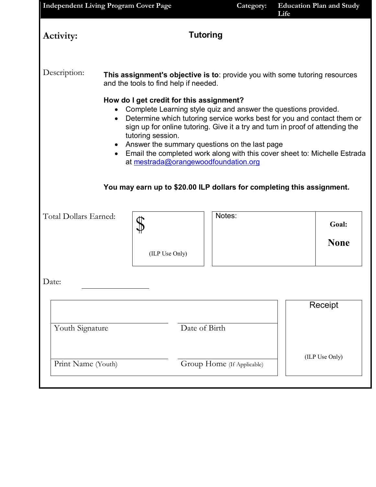|                                                  |                                                                                                                      |                                                                                                       | <b>Independent Living Program Cover Page</b> |                                                                                                                                                                                                                                                                                                                                                           |                |             |
|--------------------------------------------------|----------------------------------------------------------------------------------------------------------------------|-------------------------------------------------------------------------------------------------------|----------------------------------------------|-----------------------------------------------------------------------------------------------------------------------------------------------------------------------------------------------------------------------------------------------------------------------------------------------------------------------------------------------------------|----------------|-------------|
| Activity:                                        |                                                                                                                      |                                                                                                       | <b>Tutoring</b>                              |                                                                                                                                                                                                                                                                                                                                                           |                |             |
| Description:                                     | This assignment's objective is to: provide you with some tutoring resources<br>and the tools to find help if needed. |                                                                                                       |                                              |                                                                                                                                                                                                                                                                                                                                                           |                |             |
|                                                  | $\bullet$<br>$\bullet$<br>$\bullet$                                                                                  | How do I get credit for this assignment?<br>tutoring session.<br>at mestrada@orangewoodfoundation.org |                                              | Complete Learning style quiz and answer the questions provided.<br>Determine which tutoring service works best for you and contact them or<br>sign up for online tutoring. Give it a try and turn in proof of attending the<br>Answer the summary questions on the last page<br>Email the completed work along with this cover sheet to: Michelle Estrada |                |             |
|                                                  |                                                                                                                      |                                                                                                       |                                              | You may earn up to \$20.00 ILP dollars for completing this assignment.                                                                                                                                                                                                                                                                                    |                |             |
| Total Dollars Earned:                            |                                                                                                                      |                                                                                                       |                                              | Notes:                                                                                                                                                                                                                                                                                                                                                    |                | Goal:       |
|                                                  |                                                                                                                      | (ILP Use Only)                                                                                        |                                              |                                                                                                                                                                                                                                                                                                                                                           |                | <b>None</b> |
| Date:                                            |                                                                                                                      |                                                                                                       |                                              |                                                                                                                                                                                                                                                                                                                                                           |                |             |
|                                                  |                                                                                                                      |                                                                                                       |                                              |                                                                                                                                                                                                                                                                                                                                                           |                | Receipt     |
| Youth Signature                                  |                                                                                                                      |                                                                                                       | Date of Birth                                |                                                                                                                                                                                                                                                                                                                                                           |                |             |
| Print Name (Youth)<br>Group Home (If Applicable) |                                                                                                                      |                                                                                                       |                                              |                                                                                                                                                                                                                                                                                                                                                           | (ILP Use Only) |             |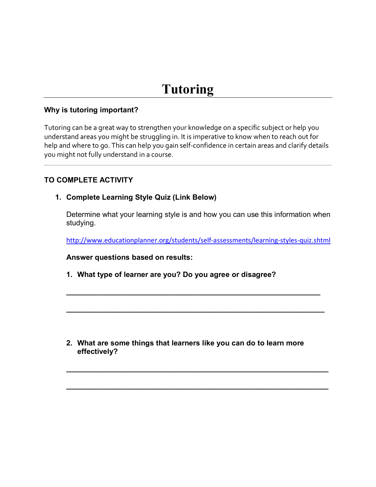#### **Why is tutoring important?**

Tutoring can be a great way to strengthen your knowledge on a specific subject or help you understand areas you might be struggling in. It is imperative to know when to reach out for help and where to go. This can help you gain self-confidence in certain areas and clarify details you might not fully understand in a course.

# **TO COMPLETE ACTIVITY**

### **1. Complete Learning Style Quiz (Link Below)**

Determine what your learning style is and how you can use this information when studying.

<http://www.educationplanner.org/students/self-assessments/learning-styles-quiz.shtml>

**\_\_\_\_\_\_\_\_\_\_\_\_\_\_\_\_\_\_\_\_\_\_\_\_\_\_\_\_\_\_\_\_\_\_\_\_\_\_\_\_\_\_\_\_\_\_\_\_\_\_\_\_\_\_\_\_\_\_\_\_\_\_**

**\_\_\_\_\_\_\_\_\_\_\_\_\_\_\_\_\_\_\_\_\_\_\_\_\_\_\_\_\_\_\_\_\_\_\_\_\_\_\_\_\_\_\_\_\_\_\_\_\_\_\_\_\_\_\_\_\_\_\_\_\_\_\_**

**\_\_\_\_\_\_\_\_\_\_\_\_\_\_\_\_\_\_\_\_\_\_\_\_\_\_\_\_\_\_\_\_\_\_\_\_\_\_\_\_\_\_\_\_\_\_\_\_\_\_\_\_\_\_\_\_\_\_\_\_\_\_\_\_**

**\_\_\_\_\_\_\_\_\_\_\_\_\_\_\_\_\_\_\_\_\_\_\_\_\_\_\_\_\_\_\_\_\_\_\_\_\_\_\_\_\_\_\_\_\_\_\_\_\_\_\_\_\_\_\_\_\_\_\_\_\_\_\_\_**

**Answer questions based on results:**

**1. What type of learner are you? Do you agree or disagree?** 

**2. What are some things that learners like you can do to learn more effectively?**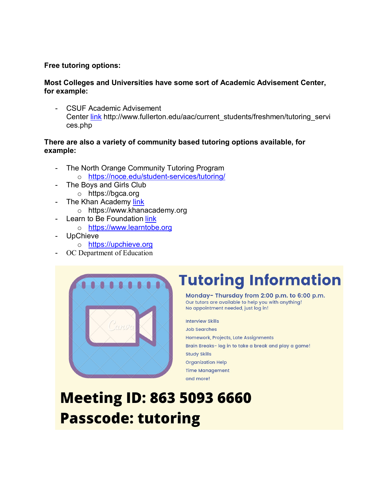#### **Free tutoring options:**

#### **Most Colleges and Universities have some sort of Academic Advisement Center, for example:**

CSUF Academic Advisement Center [link](http://www.fullerton.edu/aac/current_students/freshmen/tutoring_services.php) http://www.fullerton.edu/aac/current\_students/freshmen/tutoring\_servi ces.php

#### **There are also a variety of community based tutoring options available, for example:**

- The North Orange Community Tutoring Program
	- o <https://noce.edu/student-services/tutoring/>
- The Boys and Girls Club
	- o https://bgca.org
- The Khan Academy [link](https://www.khanacademy.org/)
	- o https://www.khanacademy.org
- Learn to Be Foundation link
	- o [https://www.learntobe.org](https://www.learntobe.org/)
- **UpChieve** 
	- o [https://upchieve.org](https://upchieve.org/)
- OC Department of Education



# **Tutoring Information**

Monday-Thursday from 2:00 p.m. to 6:00 p.m. Our tutors are available to help you with anything! No appointment needed, just log in!

**Interview Skills Job Searches** Homework, Projects, Late Assignments Brain Breaks- log in to take a break and play a game! **Study Skills Organization Help Time Management** and more!

# **Meeting ID: 863 5093 6660 Passcode: tutoring**